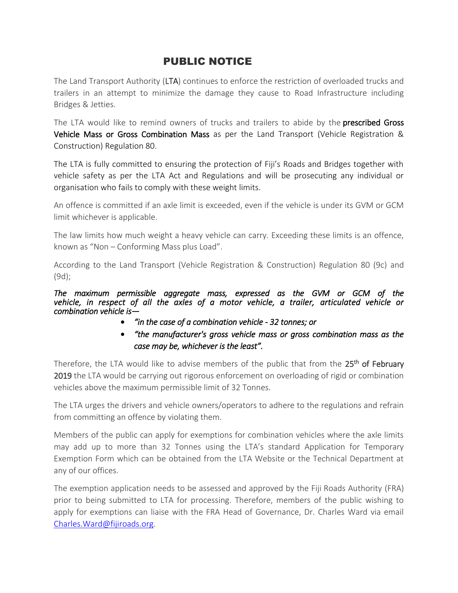## PUBLIC NOTICE

The Land Transport Authority (LTA) continues to enforce the restriction of overloaded trucks and trailers in an attempt to minimize the damage they cause to Road Infrastructure including Bridges & Jetties.

The LTA would like to remind owners of trucks and trailers to abide by the **prescribed Gross** Vehicle Mass or Gross Combination Mass as per the Land Transport (Vehicle Registration & Construction) Regulation 80.

The LTA is fully committed to ensuring the protection of Fiji's Roads and Bridges together with vehicle safety as per the LTA Act and Regulations and will be prosecuting any individual or organisation who fails to comply with these weight limits.

An offence is committed if an axle limit is exceeded, even if the vehicle is under its GVM or GCM limit whichever is applicable.

The law limits how much weight a heavy vehicle can carry. Exceeding these limits is an offence, known as "Non – Conforming Mass plus Load".

According to the Land Transport (Vehicle Registration & Construction) Regulation 80 (9c) and (9d);

*The maximum permissible aggregate mass, expressed as the GVM or GCM of the vehicle, in respect of all the axles of a motor vehicle, a trailer, articulated vehicle or combination vehicle is—* 

- *"in the case of a combination vehicle 32 tonnes; or*
- *"the manufacturer's gross vehicle mass or gross combination mass as the case may be, whichever is the least".*

Therefore, the LTA would like to advise members of the public that from the 25<sup>th</sup> of February 2019 the LTA would be carrying out rigorous enforcement on overloading of rigid or combination vehicles above the maximum permissible limit of 32 Tonnes.

The LTA urges the drivers and vehicle owners/operators to adhere to the regulations and refrain from committing an offence by violating them.

Members of the public can apply for exemptions for combination vehicles where the axle limits may add up to more than 32 Tonnes using the LTA's standard Application for Temporary Exemption Form which can be obtained from the LTA Website or the Technical Department at any of our offices.

The exemption application needs to be assessed and approved by the Fiji Roads Authority (FRA) prior to being submitted to LTA for processing. Therefore, members of the public wishing to apply for exemptions can liaise with the FRA Head of Governance, Dr. Charles Ward via email [Charles.Ward@fijiroads.org.](mailto:Charles.Ward@fijiroads.org)